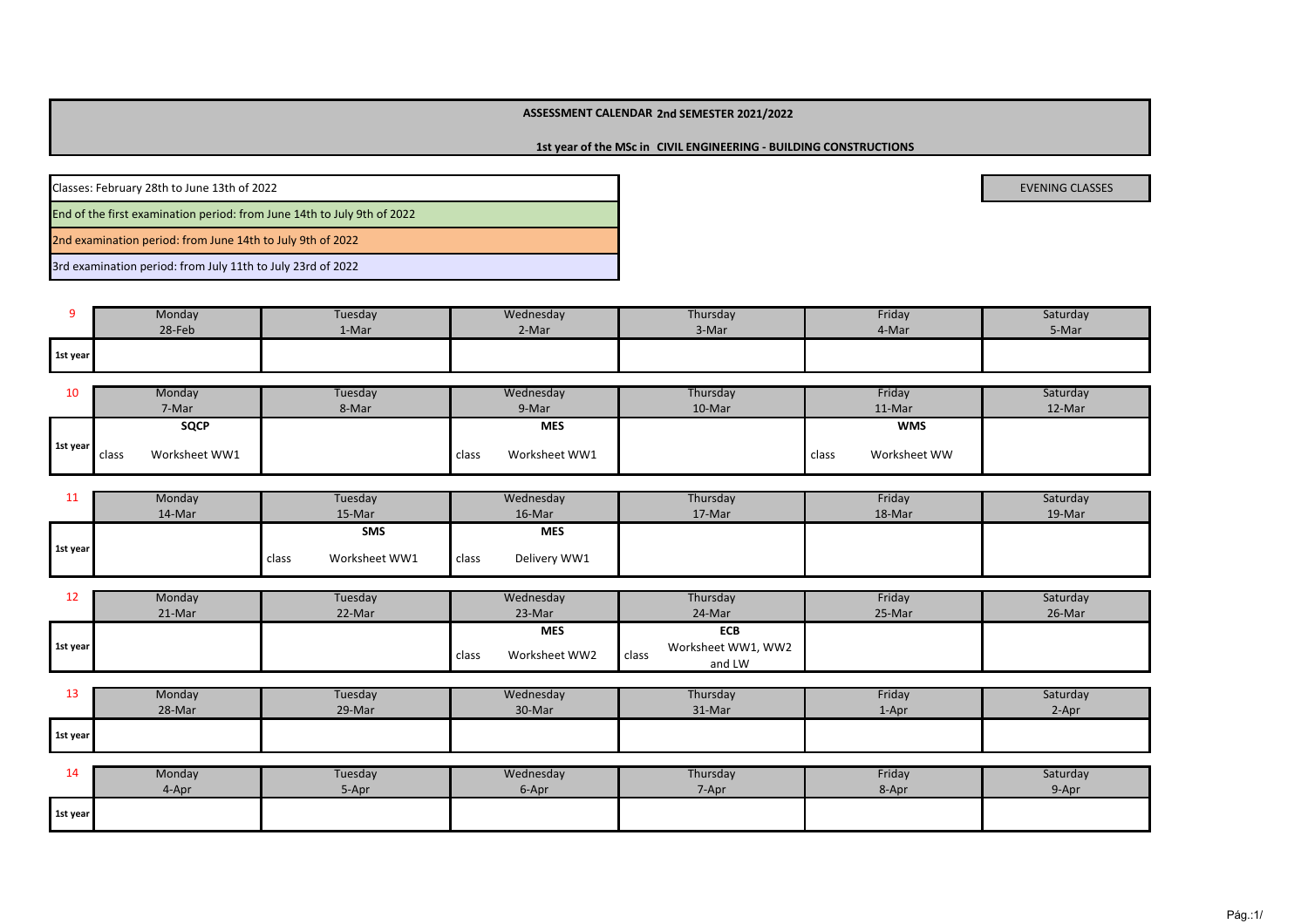#### **2nd SEMESTER 2021/2022ASSESSMENT CALENDAR**

**1st year of the MSc in CIVIL ENGINEERING - BUILDING CONSTRUCTIONS**

| Classes: February 28th to June 13th of 2022                             | <b>EVENING CLASSES</b> |
|-------------------------------------------------------------------------|------------------------|
| End of the first examination period: from June 14th to July 9th of 2022 |                        |
| 2nd examination period: from June 14th to July 9th of 2022              |                        |

3rd examination period: from July 11th to July 23rd of 2022

|          | Monday | Tuesday | Wednesday | Thursday | Friday | Saturday |
|----------|--------|---------|-----------|----------|--------|----------|
|          | 28-Feb | 1-Mar   | 2-Mar     | 3-Mar    | 4-Mar  | 5-Mar    |
| 1st year |        |         |           |          |        |          |

| 10       | Monday                              | Tuesdav | Wednesday              | Thursday | Friday                | Saturday |
|----------|-------------------------------------|---------|------------------------|----------|-----------------------|----------|
|          | 7-Mar                               | 8-Mar   | 9-Mar                  | 10-Mar   | 11-Mar                | 12-Mar   |
|          | <b>SQCP</b>                         |         | <b>MES</b>             |          | <b>WMS</b>            |          |
| 1st year | Worksheet WW1<br>class <sup>-</sup> |         | Worksheet WW1<br>class |          | Worksheet WW<br>class |          |

| --       | Monday | Tuesday                | Wednesday             | Thursday | Friday | Saturday |
|----------|--------|------------------------|-----------------------|----------|--------|----------|
|          | 14-Mar | 15-Mar                 | 16-Mar                | 17-Mar   | 18-Mar | 19-Mar   |
|          |        | SMS                    | <b>MES</b>            |          |        |          |
| 1st year |        | Worksheet WW1<br>class | Delivery WW1<br>class |          |        |          |

| ᅩᄼ       | Monday | Tuesday | Wednesday              | Thursday           | Friday | Saturday |
|----------|--------|---------|------------------------|--------------------|--------|----------|
|          | 21-Mar | 22-Mar  | 23-Mar                 | 24-Mar             | 25-Mar | 26-Mar   |
|          |        |         | <b>MES</b>             | ECB                |        |          |
| 1st year |        |         |                        | Worksheet WW1, WW2 |        |          |
|          |        |         | Worksheet WW2<br>class | class<br>and LW    |        |          |

| ∸        | Monday | Tuesday | Wednesday | Thursday | Friday     | Saturday |
|----------|--------|---------|-----------|----------|------------|----------|
|          | 28-Mar | 29-Mar  | 30-Mar    | 31-Mar   | $\pm$ -Apr | 2-Apr    |
| 1st year |        |         |           |          |            |          |

| . .      | Monday | Tuesday | Wednesday | Thursday | Friday | Saturday |
|----------|--------|---------|-----------|----------|--------|----------|
|          | 4-Apr  | 5-Apr   | 6-Apr     | 7-Apr    | 8-Apr  | 9-Apr    |
| 1st year |        |         |           |          |        |          |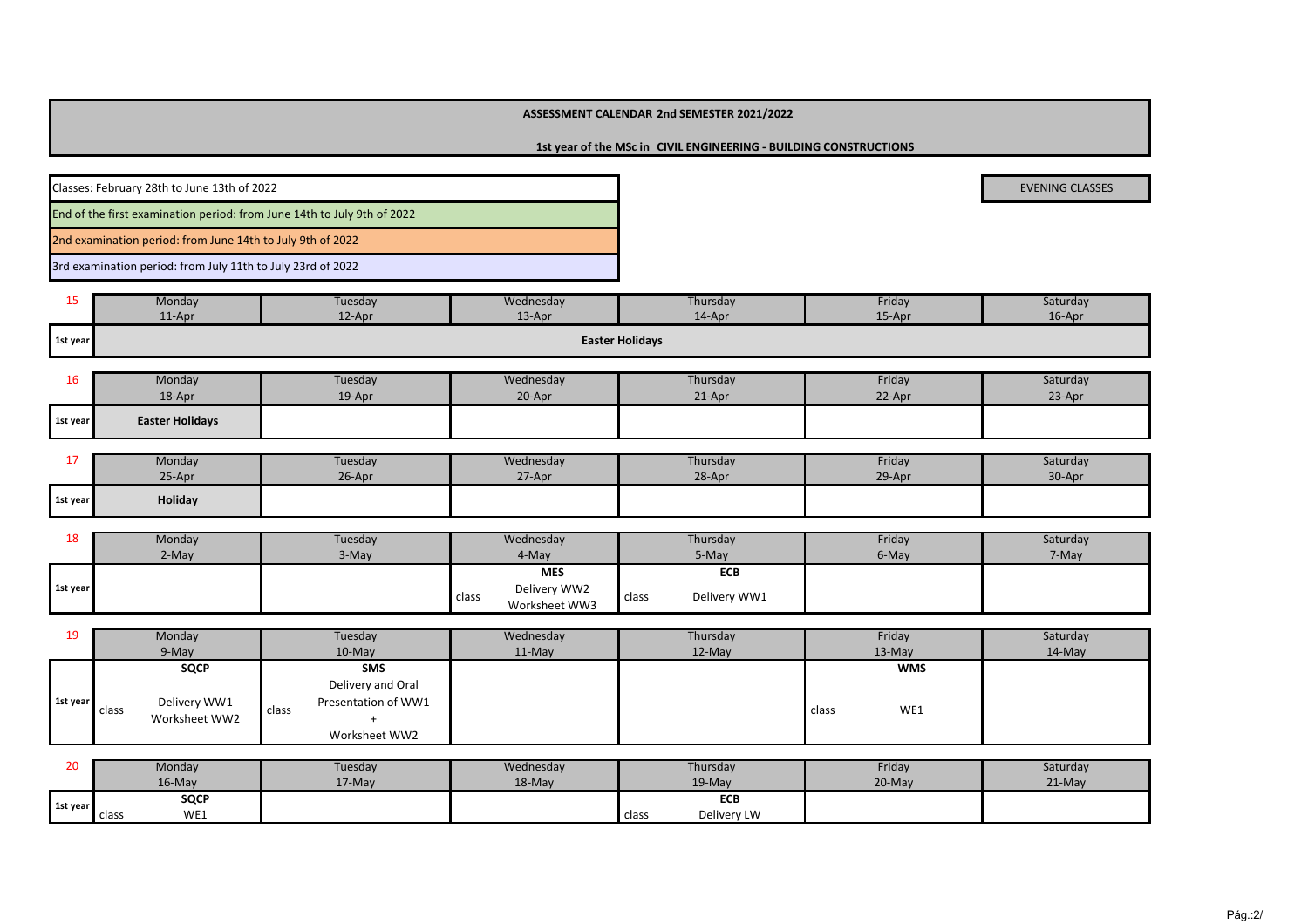## **ASSESSMENT CALENDAR 2nd SEMESTER 2021/2022**

**1st year of the MSc in CIVIL ENGINEERING - BUILDING CONSTRUCTIONS**

| Classes: February 28th to June 13th of 2022                             | <b>EVENING CLASSES</b> |
|-------------------------------------------------------------------------|------------------------|
| End of the first examination period: from June 14th to July 9th of 2022 |                        |
| 2nd examination period: from June 14th to July 9th of 2022              |                        |
| 3rd examination period: from July 11th to July 23rd of 2022             |                        |

| --       | Monday | Tuesday | Wednesday | Thursday               | Friday | Saturday |
|----------|--------|---------|-----------|------------------------|--------|----------|
|          | 11-Apr | 12-Apr  | 13-Apr    | 14-Apr                 | 15-Apr | 16-Apr   |
| 1st year |        |         |           | <b>Easter Holidays</b> |        |          |

| ∸        | Monday                 | Tuesday | Wednesday | Thursday | Friday | Saturday |
|----------|------------------------|---------|-----------|----------|--------|----------|
|          | 18-Apr                 | 19-Apr  | 20-Apr    | 21-Apr   | 22-Apr | 23-Apr   |
| 1st year | <b>Easter Holidays</b> |         |           |          |        |          |

|          | Monday  | Tuesday | Wednesday | Thursday | Friday | Saturday |
|----------|---------|---------|-----------|----------|--------|----------|
|          | 25-Apr  | 26-Apr  | 27-Apr    | 28-Apr   | 29-Apr | 30-Apr   |
| 1st year | Holiday |         |           |          |        |          |

| 18       | Monday | Tuesday | Wednesday                              | Thursday              | Friday | Saturday |
|----------|--------|---------|----------------------------------------|-----------------------|--------|----------|
|          | 2-May  | $3-May$ | 4-May                                  | 5-May                 | 6-May  | 7-May    |
|          |        |         | <b>MES</b>                             | ECB                   |        |          |
| 1st year |        |         | Delivery WW2<br>class<br>Worksheet WW3 | Delivery WW1<br>class |        |          |

| 19       | Monday                 | Tuesday             | Wednesday | Thursday  | Friday     | Saturday  |
|----------|------------------------|---------------------|-----------|-----------|------------|-----------|
|          | 9-May                  | $10$ -May           | $11-Mav$  | $12$ -May | $13-Mav$   | $14$ -May |
|          | <b>SQCP</b>            | <b>SMS</b>          |           |           | <b>WMS</b> |           |
|          |                        | Delivery and Oral   |           |           |            |           |
| 1st year | Delivery WW1           | Presentation of WW1 |           |           | WE1        |           |
|          | class<br>Worksheet WW2 | class               |           |           | class      |           |
|          |                        | Worksheet WW2       |           |           |            |           |

| n o<br>∠∪ | Monday         | Tuesday | Wednesday | Thursday             | Friday    | Saturday |
|-----------|----------------|---------|-----------|----------------------|-----------|----------|
|           | $16$ -May      | 17-May  | 18-May    | 19-May               | $20$ -May | 21-May   |
| 1st year  | <b>SQCP</b>    |         |           | <b>ECB</b>           |           |          |
|           | WE1<br>i class |         |           | Delivery LW<br>class |           |          |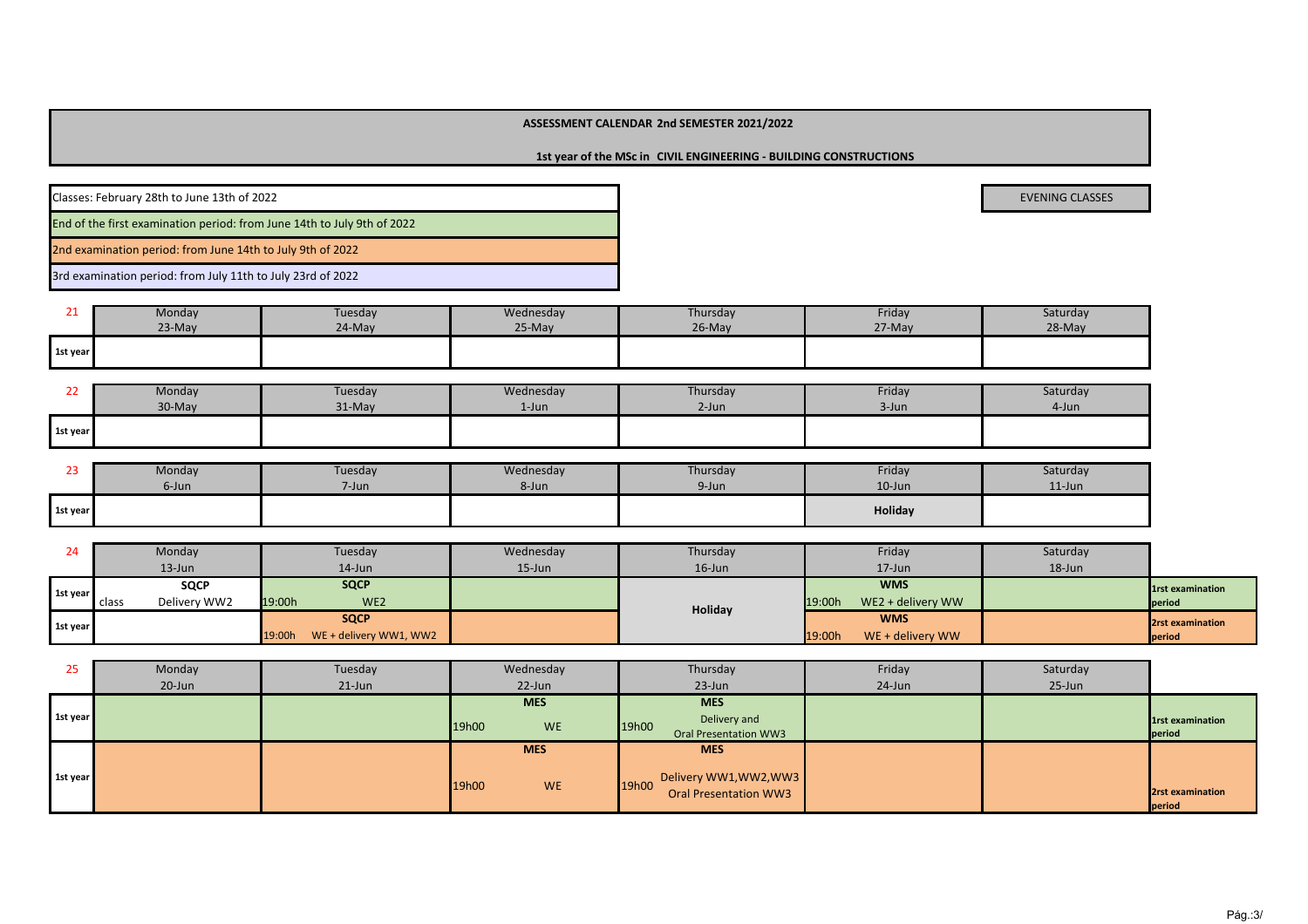## **ASSESSMENT CALENDAR 2nd SEMESTER 2021/2022**

**1st year of the MSc in CIVIL ENGINEERING - BUILDING CONSTRUCTIONS**

| Classes: February 28th to June 13th of 2022                             | <b>EVENING CLASSES</b> |  |
|-------------------------------------------------------------------------|------------------------|--|
| End of the first examination period: from June 14th to July 9th of 2022 |                        |  |
| 2nd examination period: from June 14th to July 9th of 2022              |                        |  |

3rd examination period: from July 11th to July 23rd of 2022

| $\sim$ $\sim$ | Monday   | Tuesday | Wednesday | Thursday  | Friday | Saturday |
|---------------|----------|---------|-----------|-----------|--------|----------|
| <u>_ _</u>    | $23-May$ | 24-May  | 25-May    | $26$ -May | 27-May | 28-May   |
| 1st year      |          |         |           |           |        |          |

| <u>__</u> | Monday | Tuesday | Wednesday | Thursday | Friday | Saturday |
|-----------|--------|---------|-----------|----------|--------|----------|
|           | 30-May | 31-May  | $1$ -Jun  | 2-Jun    | 3-Jun  | 4-Jun    |
| 1st year  |        |         |           |          |        |          |

|          | Monday | Tuesday | Wednesday | Thursday | Friday    | Saturday  |
|----------|--------|---------|-----------|----------|-----------|-----------|
|          | 6-Jun  | 7-Jun   | 8-Jun     | 9-Jun    | $10$ -Jun | $11$ -Jun |
| 1st year |        |         |           |          | Holiday   |           |

| 24       | Monday                | Tuesday                          | Wednesday | Thursday  | Friday                      | Saturday   |                         |
|----------|-----------------------|----------------------------------|-----------|-----------|-----------------------------|------------|-------------------------|
|          | $13$ -Jun             | 14-Jun                           | $15$ -Jun | $16$ -Jun | $17$ -Jun                   | $18 - Jun$ |                         |
| 1st year | <b>SQCP</b>           | <b>SQCP</b>                      |           |           | <b>WMS</b>                  |            | <b>1st examination</b>  |
|          | Delivery WW2<br>class | 19:00h<br>WE <sub>2</sub>        |           | Holiday   | WE2 + delivery WW<br>19:00h |            | period                  |
| 1st year |                       | <b>SQCP</b>                      |           |           | <b>WMS</b>                  |            | <b>2rst examination</b> |
|          |                       | WE + delivery WW1, WW2<br>19:00h |           |           | 19:00h<br>WE + delivery WW  |            | period                  |

| 25       | Monday | Tuesday   | Wednesday          | Thursday                     | Friday    | Saturday |                         |
|----------|--------|-----------|--------------------|------------------------------|-----------|----------|-------------------------|
|          | 20-Jun | $21$ -Jun | 22-Jun             | $23$ -Jun                    | $24$ -Jun | 25-Jun   |                         |
|          |        |           | <b>MES</b>         | <b>MES</b>                   |           |          |                         |
| 1st year |        |           | <b>WE</b><br>19h00 | Delivery and<br>19h00        |           |          | <b>1rst examination</b> |
|          |        |           |                    | Oral Presentation WW3        |           |          | period                  |
|          |        |           | <b>MES</b>         | <b>MES</b>                   |           |          |                         |
| 1st year |        |           | <b>WE</b><br>19h00 | 19h00 Delivery WW1, WW2, WW3 |           |          |                         |
|          |        |           |                    | <b>Oral Presentation WW3</b> |           |          | 2rst examination        |
|          |        |           |                    |                              |           |          | period                  |